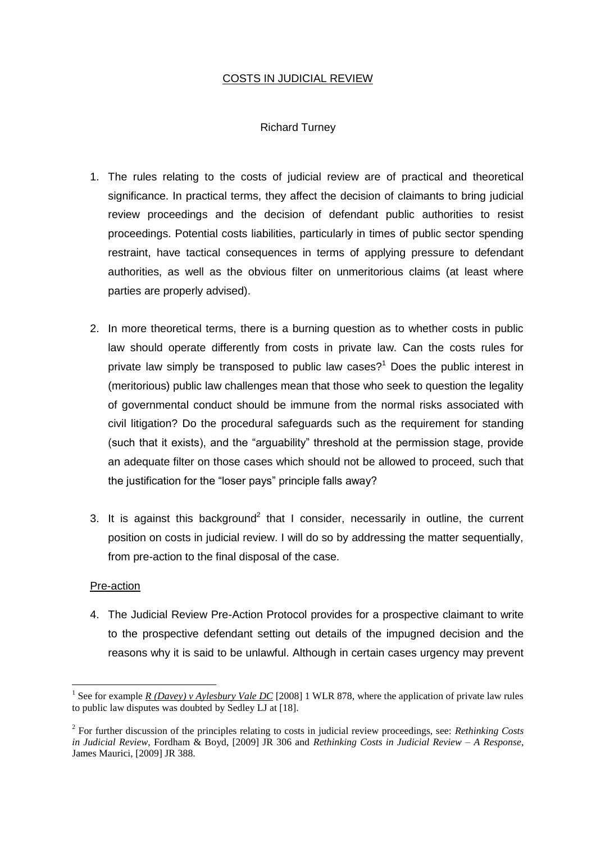## COSTS IN JUDICIAL REVIEW

# Richard Turney

- 1. The rules relating to the costs of judicial review are of practical and theoretical significance. In practical terms, they affect the decision of claimants to bring judicial review proceedings and the decision of defendant public authorities to resist proceedings. Potential costs liabilities, particularly in times of public sector spending restraint, have tactical consequences in terms of applying pressure to defendant authorities, as well as the obvious filter on unmeritorious claims (at least where parties are properly advised).
- 2. In more theoretical terms, there is a burning question as to whether costs in public law should operate differently from costs in private law. Can the costs rules for private law simply be transposed to public law cases?<sup>1</sup> Does the public interest in (meritorious) public law challenges mean that those who seek to question the legality of governmental conduct should be immune from the normal risks associated with civil litigation? Do the procedural safeguards such as the requirement for standing (such that it exists), and the "arguability" threshold at the permission stage, provide an adequate filter on those cases which should not be allowed to proceed, such that the justification for the "loser pays" principle falls away?
- 3. It is against this background<sup>2</sup> that I consider, necessarily in outline, the current position on costs in judicial review. I will do so by addressing the matter sequentially, from pre-action to the final disposal of the case.

## Pre-action

**.** 

4. The Judicial Review Pre-Action Protocol provides for a prospective claimant to write to the prospective defendant setting out details of the impugned decision and the reasons why it is said to be unlawful. Although in certain cases urgency may prevent

<sup>&</sup>lt;sup>1</sup> See for example  $R$  (Davey) v Aylesbury Vale DC [2008] 1 WLR 878, where the application of private law rules to public law disputes was doubted by Sedley LJ at [18].

<sup>2</sup> For further discussion of the principles relating to costs in judicial review proceedings, see: *Rethinking Costs in Judicial Review*, Fordham & Boyd, [2009] JR 306 and *Rethinking Costs in Judicial Review – A Response*, James Maurici, [2009] JR 388.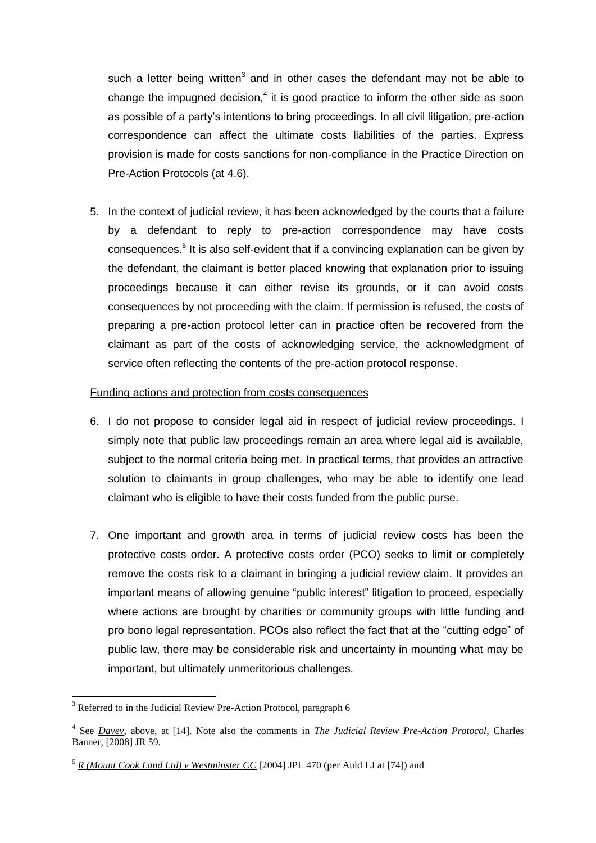such a letter being written<sup>3</sup> and in other cases the defendant may not be able to change the impugned decision, $4$  it is good practice to inform the other side as soon as possible of a party"s intentions to bring proceedings. In all civil litigation, pre-action correspondence can affect the ultimate costs liabilities of the parties. Express provision is made for costs sanctions for non-compliance in the Practice Direction on Pre-Action Protocols (at 4.6).

5. In the context of judicial review, it has been acknowledged by the courts that a failure by a defendant to reply to pre-action correspondence may have costs consequences.<sup>5</sup> It is also self-evident that if a convincing explanation can be given by the defendant, the claimant is better placed knowing that explanation prior to issuing proceedings because it can either revise its grounds, or it can avoid costs consequences by not proceeding with the claim. If permission is refused, the costs of preparing a pre-action protocol letter can in practice often be recovered from the claimant as part of the costs of acknowledging service, the acknowledgment of service often reflecting the contents of the pre-action protocol response.

#### Funding actions and protection from costs consequences

- 6. I do not propose to consider legal aid in respect of judicial review proceedings. I simply note that public law proceedings remain an area where legal aid is available, subject to the normal criteria being met. In practical terms, that provides an attractive solution to claimants in group challenges, who may be able to identify one lead claimant who is eligible to have their costs funded from the public purse.
- 7. One important and growth area in terms of judicial review costs has been the protective costs order. A protective costs order (PCO) seeks to limit or completely remove the costs risk to a claimant in bringing a judicial review claim. It provides an important means of allowing genuine "public interest" litigation to proceed, especially where actions are brought by charities or community groups with little funding and pro bono legal representation. PCOs also reflect the fact that at the "cutting edge" of public law, there may be considerable risk and uncertainty in mounting what may be important, but ultimately unmeritorious challenges.

1

 $3$  Referred to in the Judicial Review Pre-Action Protocol, paragraph 6

<sup>4</sup> See *Davey*, above, at [14]. Note also the comments in *The Judicial Review Pre-Action Protocol*, Charles Banner, [2008] JR 59.

<sup>5</sup> *R (Mount Cook Land Ltd) v Westminster CC* [2004] JPL 470 (per Auld LJ at [74]) and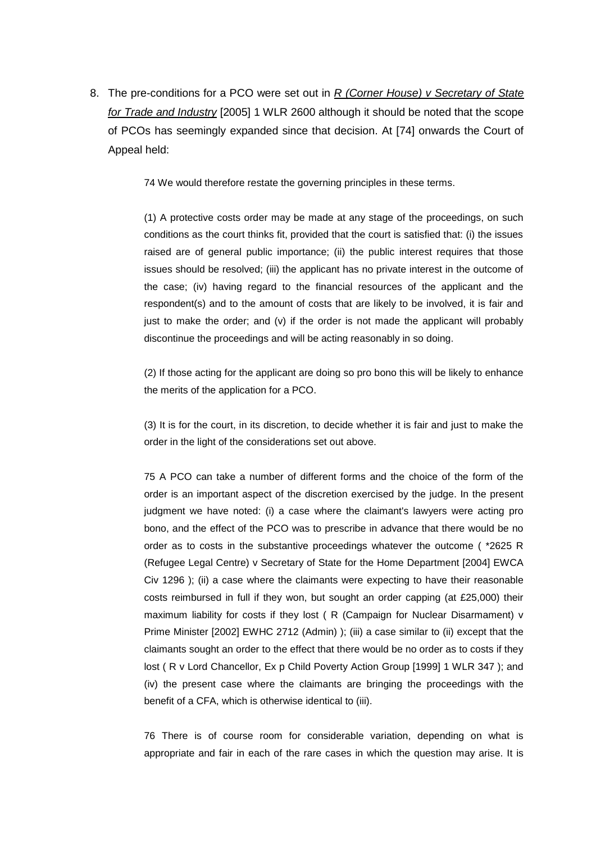8. The pre-conditions for a PCO were set out in *R (Corner House) v Secretary of State for Trade and Industry* [2005] 1 WLR 2600 although it should be noted that the scope of PCOs has seemingly expanded since that decision. At [74] onwards the Court of Appeal held:

74 We would therefore restate the governing principles in these terms.

(1) A protective costs order may be made at any stage of the proceedings, on such conditions as the court thinks fit, provided that the court is satisfied that: (i) the issues raised are of general public importance; (ii) the public interest requires that those issues should be resolved; (iii) the applicant has no private interest in the outcome of the case; (iv) having regard to the financial resources of the applicant and the respondent(s) and to the amount of costs that are likely to be involved, it is fair and just to make the order; and (v) if the order is not made the applicant will probably discontinue the proceedings and will be acting reasonably in so doing.

(2) If those acting for the applicant are doing so pro bono this will be likely to enhance the merits of the application for a PCO.

(3) It is for the court, in its discretion, to decide whether it is fair and just to make the order in the light of the considerations set out above.

75 A PCO can take a number of different forms and the choice of the form of the order is an important aspect of the discretion exercised by the judge. In the present judgment we have noted: (i) a case where the claimant's lawyers were acting pro bono, and the effect of the PCO was to prescribe in advance that there would be no order as to costs in the substantive proceedings whatever the outcome ( \*2625 R (Refugee Legal Centre) v Secretary of State for the Home Department [2004] EWCA Civ 1296 ); (ii) a case where the claimants were expecting to have their reasonable costs reimbursed in full if they won, but sought an order capping (at £25,000) their maximum liability for costs if they lost ( R (Campaign for Nuclear Disarmament) v Prime Minister [2002] EWHC 2712 (Admin) ); (iii) a case similar to (ii) except that the claimants sought an order to the effect that there would be no order as to costs if they lost ( R v Lord Chancellor, Ex p Child Poverty Action Group [1999] 1 WLR 347 ); and (iv) the present case where the claimants are bringing the proceedings with the benefit of a CFA, which is otherwise identical to (iii).

76 There is of course room for considerable variation, depending on what is appropriate and fair in each of the rare cases in which the question may arise. It is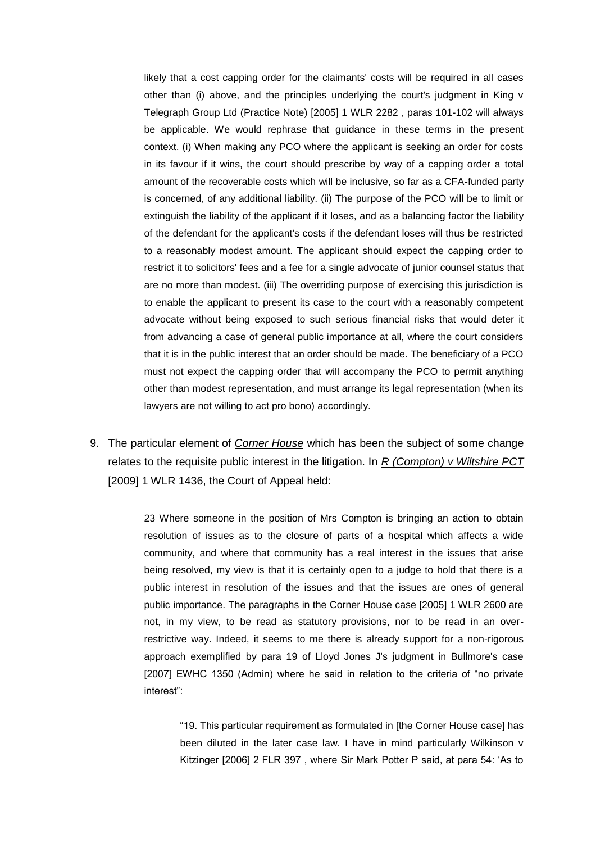likely that a cost capping order for the claimants' costs will be required in all cases other than (i) above, and the principles underlying the court's judgment in King v Telegraph Group Ltd (Practice Note) [2005] 1 WLR 2282 , paras 101-102 will always be applicable. We would rephrase that guidance in these terms in the present context. (i) When making any PCO where the applicant is seeking an order for costs in its favour if it wins, the court should prescribe by way of a capping order a total amount of the recoverable costs which will be inclusive, so far as a CFA-funded party is concerned, of any additional liability. (ii) The purpose of the PCO will be to limit or extinguish the liability of the applicant if it loses, and as a balancing factor the liability of the defendant for the applicant's costs if the defendant loses will thus be restricted to a reasonably modest amount. The applicant should expect the capping order to restrict it to solicitors' fees and a fee for a single advocate of junior counsel status that are no more than modest. (iii) The overriding purpose of exercising this jurisdiction is to enable the applicant to present its case to the court with a reasonably competent advocate without being exposed to such serious financial risks that would deter it from advancing a case of general public importance at all, where the court considers that it is in the public interest that an order should be made. The beneficiary of a PCO must not expect the capping order that will accompany the PCO to permit anything other than modest representation, and must arrange its legal representation (when its lawyers are not willing to act pro bono) accordingly.

9. The particular element of *Corner House* which has been the subject of some change relates to the requisite public interest in the litigation. In *R (Compton) v Wiltshire PCT* [2009] 1 WLR 1436, the Court of Appeal held:

> 23 Where someone in the position of Mrs Compton is bringing an action to obtain resolution of issues as to the closure of parts of a hospital which affects a wide community, and where that community has a real interest in the issues that arise being resolved, my view is that it is certainly open to a judge to hold that there is a public interest in resolution of the issues and that the issues are ones of general public importance. The paragraphs in the Corner House case [2005] 1 WLR 2600 are not, in my view, to be read as statutory provisions, nor to be read in an overrestrictive way. Indeed, it seems to me there is already support for a non-rigorous approach exemplified by para 19 of Lloyd Jones J's judgment in Bullmore's case [2007] EWHC 1350 (Admin) where he said in relation to the criteria of "no private interest":

"19. This particular requirement as formulated in [the Corner House case] has been diluted in the later case law. I have in mind particularly Wilkinson v Kitzinger [2006] 2 FLR 397 , where Sir Mark Potter P said, at para 54: "As to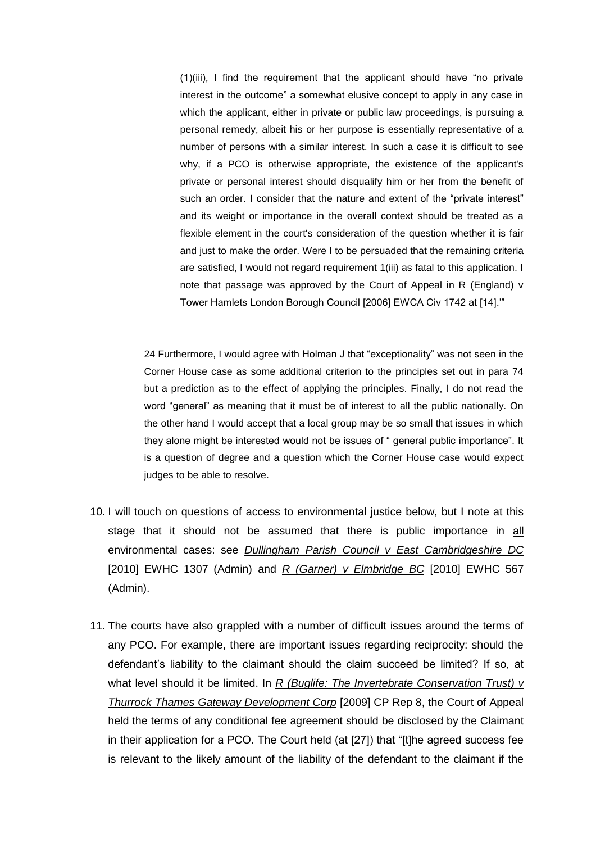(1)(iii), I find the requirement that the applicant should have "no private interest in the outcome" a somewhat elusive concept to apply in any case in which the applicant, either in private or public law proceedings, is pursuing a personal remedy, albeit his or her purpose is essentially representative of a number of persons with a similar interest. In such a case it is difficult to see why, if a PCO is otherwise appropriate, the existence of the applicant's private or personal interest should disqualify him or her from the benefit of such an order. I consider that the nature and extent of the "private interest" and its weight or importance in the overall context should be treated as a flexible element in the court's consideration of the question whether it is fair and just to make the order. Were I to be persuaded that the remaining criteria are satisfied, I would not regard requirement 1(iii) as fatal to this application. I note that passage was approved by the Court of Appeal in R (England) v Tower Hamlets London Borough Council [2006] EWCA Civ 1742 at [14].""

24 Furthermore, I would agree with Holman J that "exceptionality" was not seen in the Corner House case as some additional criterion to the principles set out in para 74 but a prediction as to the effect of applying the principles. Finally, I do not read the word "general" as meaning that it must be of interest to all the public nationally. On the other hand I would accept that a local group may be so small that issues in which they alone might be interested would not be issues of " general public importance". It is a question of degree and a question which the Corner House case would expect judges to be able to resolve.

- 10. I will touch on questions of access to environmental justice below, but I note at this stage that it should not be assumed that there is public importance in all environmental cases: see *Dullingham Parish Council v East Cambridgeshire DC* [2010] EWHC 1307 (Admin) and *R (Garner) v Elmbridge BC* [2010] EWHC 567 (Admin).
- 11. The courts have also grappled with a number of difficult issues around the terms of any PCO. For example, there are important issues regarding reciprocity: should the defendant"s liability to the claimant should the claim succeed be limited? If so, at what level should it be limited. In *R (Buglife: The Invertebrate Conservation Trust) v Thurrock Thames Gateway Development Corp* [2009] CP Rep 8, the Court of Appeal held the terms of any conditional fee agreement should be disclosed by the Claimant in their application for a PCO. The Court held (at [27]) that "[t]he agreed success fee is relevant to the likely amount of the liability of the defendant to the claimant if the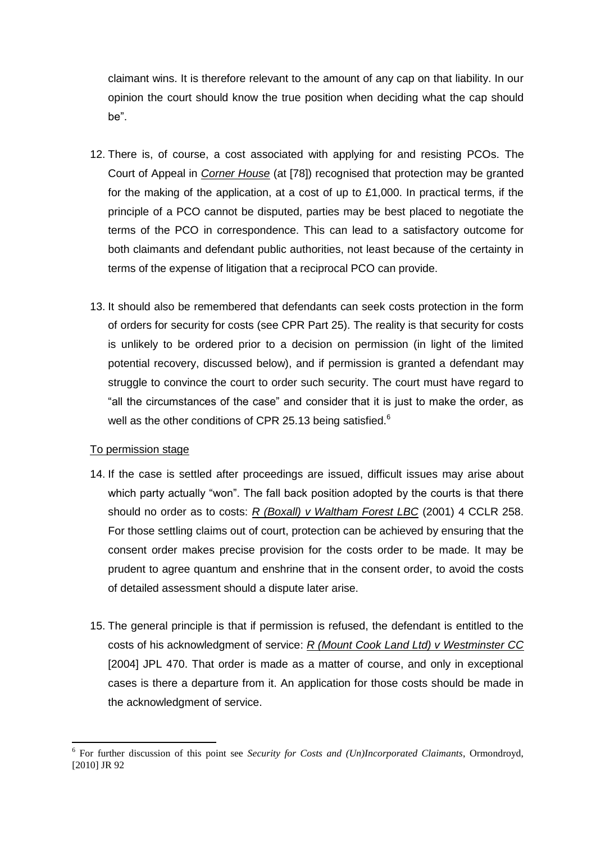claimant wins. It is therefore relevant to the amount of any cap on that liability. In our opinion the court should know the true position when deciding what the cap should be".

- 12. There is, of course, a cost associated with applying for and resisting PCOs. The Court of Appeal in *Corner House* (at [78]) recognised that protection may be granted for the making of the application, at a cost of up to £1,000. In practical terms, if the principle of a PCO cannot be disputed, parties may be best placed to negotiate the terms of the PCO in correspondence. This can lead to a satisfactory outcome for both claimants and defendant public authorities, not least because of the certainty in terms of the expense of litigation that a reciprocal PCO can provide.
- 13. It should also be remembered that defendants can seek costs protection in the form of orders for security for costs (see CPR Part 25). The reality is that security for costs is unlikely to be ordered prior to a decision on permission (in light of the limited potential recovery, discussed below), and if permission is granted a defendant may struggle to convince the court to order such security. The court must have regard to "all the circumstances of the case" and consider that it is just to make the order, as well as the other conditions of CPR 25.13 being satisfied.<sup>6</sup>

## To permission stage

- 14. If the case is settled after proceedings are issued, difficult issues may arise about which party actually "won". The fall back position adopted by the courts is that there should no order as to costs: *R (Boxall) v Waltham Forest LBC* (2001) 4 CCLR 258. For those settling claims out of court, protection can be achieved by ensuring that the consent order makes precise provision for the costs order to be made. It may be prudent to agree quantum and enshrine that in the consent order, to avoid the costs of detailed assessment should a dispute later arise.
- 15. The general principle is that if permission is refused, the defendant is entitled to the costs of his acknowledgment of service: *R (Mount Cook Land Ltd) v Westminster CC* [2004] JPL 470. That order is made as a matter of course, and only in exceptional cases is there a departure from it. An application for those costs should be made in the acknowledgment of service.

 6 For further discussion of this point see *Security for Costs and (Un)Incorporated Claimants*, Ormondroyd, [2010] JR 92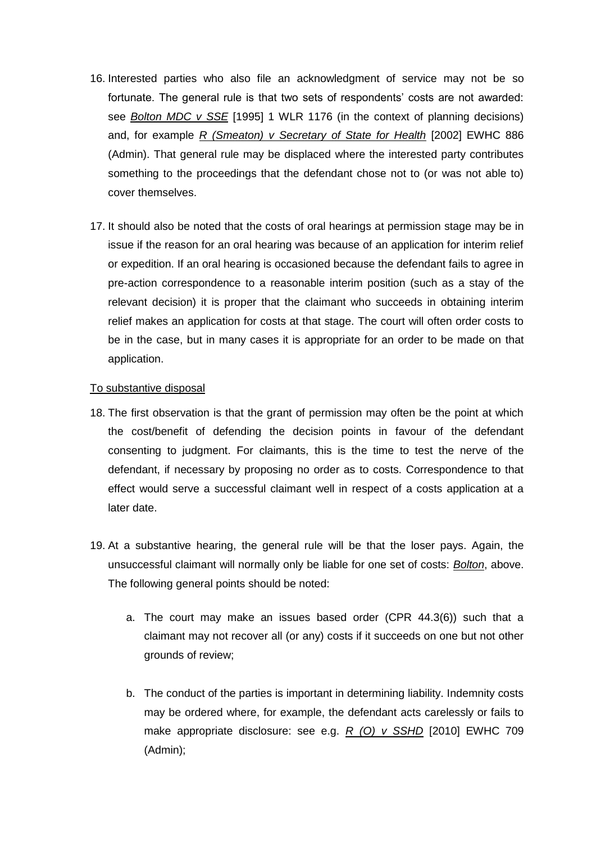- 16. Interested parties who also file an acknowledgment of service may not be so fortunate. The general rule is that two sets of respondents" costs are not awarded: see *Bolton MDC v SSE* [1995] 1 WLR 1176 (in the context of planning decisions) and, for example *R (Smeaton) v Secretary of State for Health* [2002] EWHC 886 (Admin). That general rule may be displaced where the interested party contributes something to the proceedings that the defendant chose not to (or was not able to) cover themselves.
- 17. It should also be noted that the costs of oral hearings at permission stage may be in issue if the reason for an oral hearing was because of an application for interim relief or expedition. If an oral hearing is occasioned because the defendant fails to agree in pre-action correspondence to a reasonable interim position (such as a stay of the relevant decision) it is proper that the claimant who succeeds in obtaining interim relief makes an application for costs at that stage. The court will often order costs to be in the case, but in many cases it is appropriate for an order to be made on that application.

#### To substantive disposal

- 18. The first observation is that the grant of permission may often be the point at which the cost/benefit of defending the decision points in favour of the defendant consenting to judgment. For claimants, this is the time to test the nerve of the defendant, if necessary by proposing no order as to costs. Correspondence to that effect would serve a successful claimant well in respect of a costs application at a later date.
- 19. At a substantive hearing, the general rule will be that the loser pays. Again, the unsuccessful claimant will normally only be liable for one set of costs: *Bolton*, above. The following general points should be noted:
	- a. The court may make an issues based order (CPR 44.3(6)) such that a claimant may not recover all (or any) costs if it succeeds on one but not other grounds of review;
	- b. The conduct of the parties is important in determining liability. Indemnity costs may be ordered where, for example, the defendant acts carelessly or fails to make appropriate disclosure: see e.g. *R (O) v SSHD* [2010] EWHC 709 (Admin);